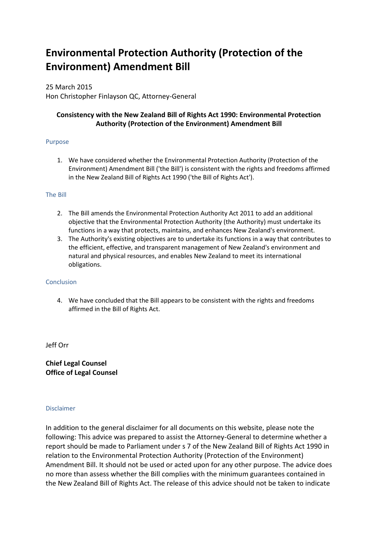# **Environmental Protection Authority (Protection of the Environment) Amendment Bill**

25 March 2015 Hon Christopher Finlayson QC, Attorney-General

## **Consistency with the New Zealand Bill of Rights Act 1990: Environmental Protection Authority (Protection of the Environment) Amendment Bill**

### Purpose

1. We have considered whether the Environmental Protection Authority (Protection of the Environment) Amendment Bill ('the Bill') is consistent with the rights and freedoms affirmed in the New Zealand Bill of Rights Act 1990 ('the Bill of Rights Act').

#### The Bill

- 2. The Bill amends the Environmental Protection Authority Act 2011 to add an additional objective that the Environmental Protection Authority (the Authority) must undertake its functions in a way that protects, maintains, and enhances New Zealand's environment.
- 3. The Authority's existing objectives are to undertake its functions in a way that contributes to the efficient, effective, and transparent management of New Zealand's environment and natural and physical resources, and enables New Zealand to meet its international obligations.

#### Conclusion

4. We have concluded that the Bill appears to be consistent with the rights and freedoms affirmed in the Bill of Rights Act.

Jeff Orr

**Chief Legal Counsel Office of Legal Counsel**

#### Disclaimer

In addition to the general disclaimer for all documents on this website, please note the following: This advice was prepared to assist the Attorney-General to determine whether a report should be made to Parliament under s 7 of the New Zealand Bill of Rights Act 1990 in relation to the Environmental Protection Authority (Protection of the Environment) Amendment Bill. It should not be used or acted upon for any other purpose. The advice does no more than assess whether the Bill complies with the minimum guarantees contained in the New Zealand Bill of Rights Act. The release of this advice should not be taken to indicate